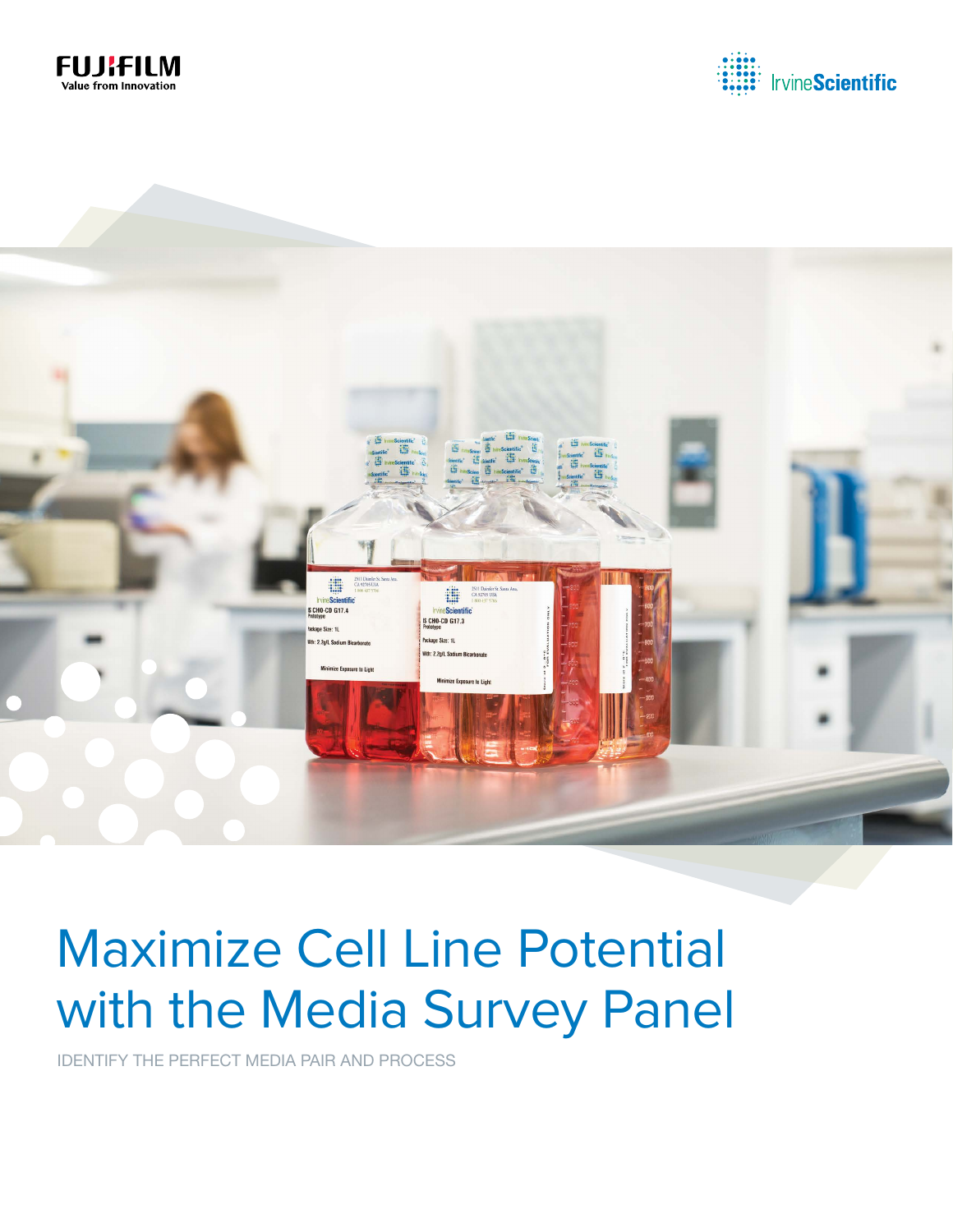





# Maximize Cell Line Potential with the Media Survey Panel

IDENTIFY THE PERFECT MEDIA PAIR AND PROCESS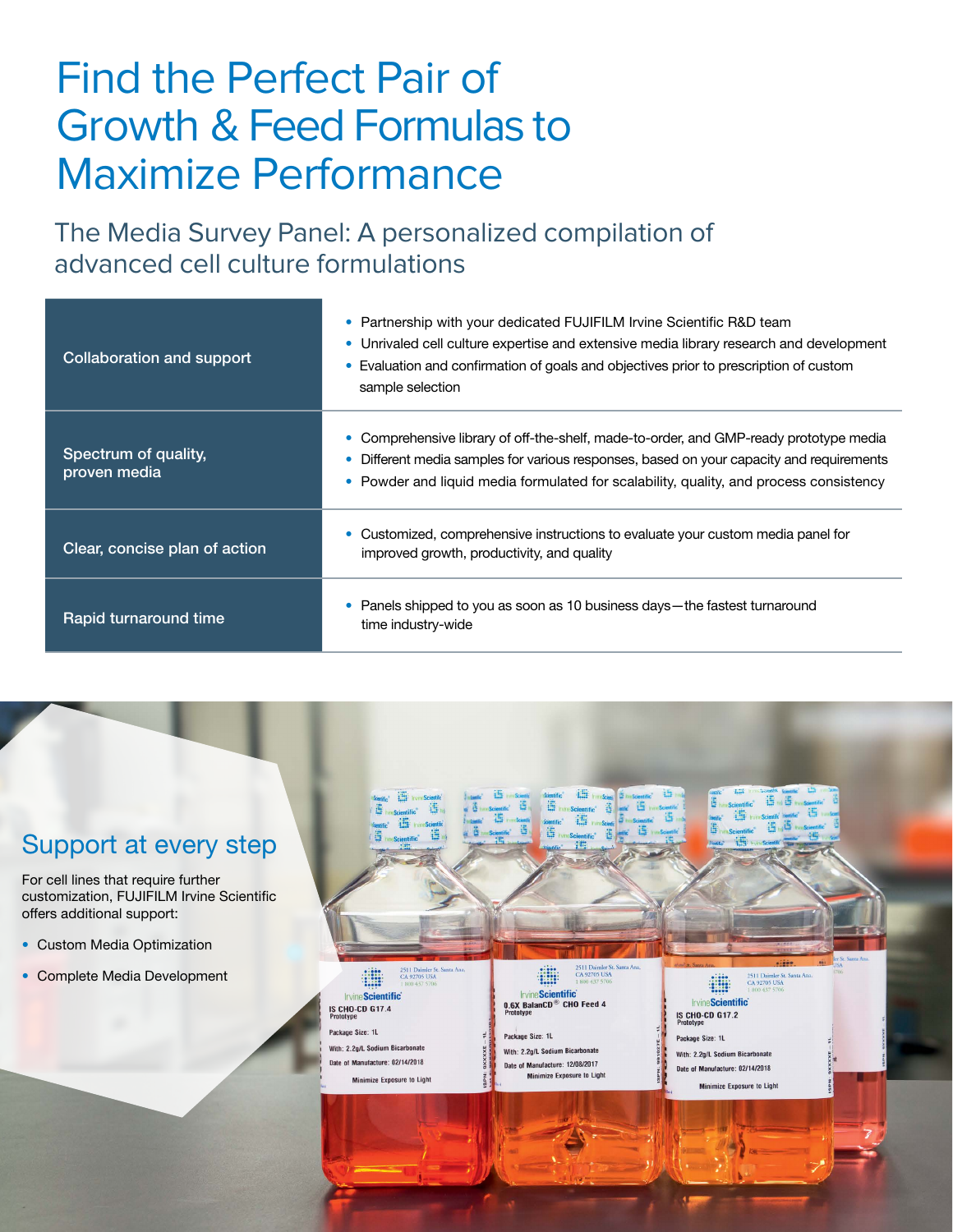### Find the Perfect Pair of Growth & Feed Formulas to Maximize Performance

The Media Survey Panel: A personalized compilation of advanced cell culture formulations

| Collaboration and support            | Partnership with your dedicated FUJIFILM Irvine Scientific R&D team<br>$\bullet$<br>Unrivaled cell culture expertise and extensive media library research and development<br>۰<br>Evaluation and confirmation of goals and objectives prior to prescription of custom<br>sample selection |
|--------------------------------------|-------------------------------------------------------------------------------------------------------------------------------------------------------------------------------------------------------------------------------------------------------------------------------------------|
| Spectrum of quality,<br>proven media | Comprehensive library of off-the-shelf, made-to-order, and GMP-ready prototype media<br>Different media samples for various responses, based on your capacity and requirements<br>Powder and liquid media formulated for scalability, quality, and process consistency<br>۰               |
| Clear, concise plan of action        | Customized, comprehensive instructions to evaluate your custom media panel for<br>improved growth, productivity, and quality                                                                                                                                                              |
| Rapid turnaround time                | Panels shipped to you as soon as 10 business days—the fastest turnaround<br>time industry-wide                                                                                                                                                                                            |

### Support at every step

For cell lines that require further customization, FUJIFILM Irvine Scientific offers additional support:

- Custom Media Optimization
- Complete Media Development

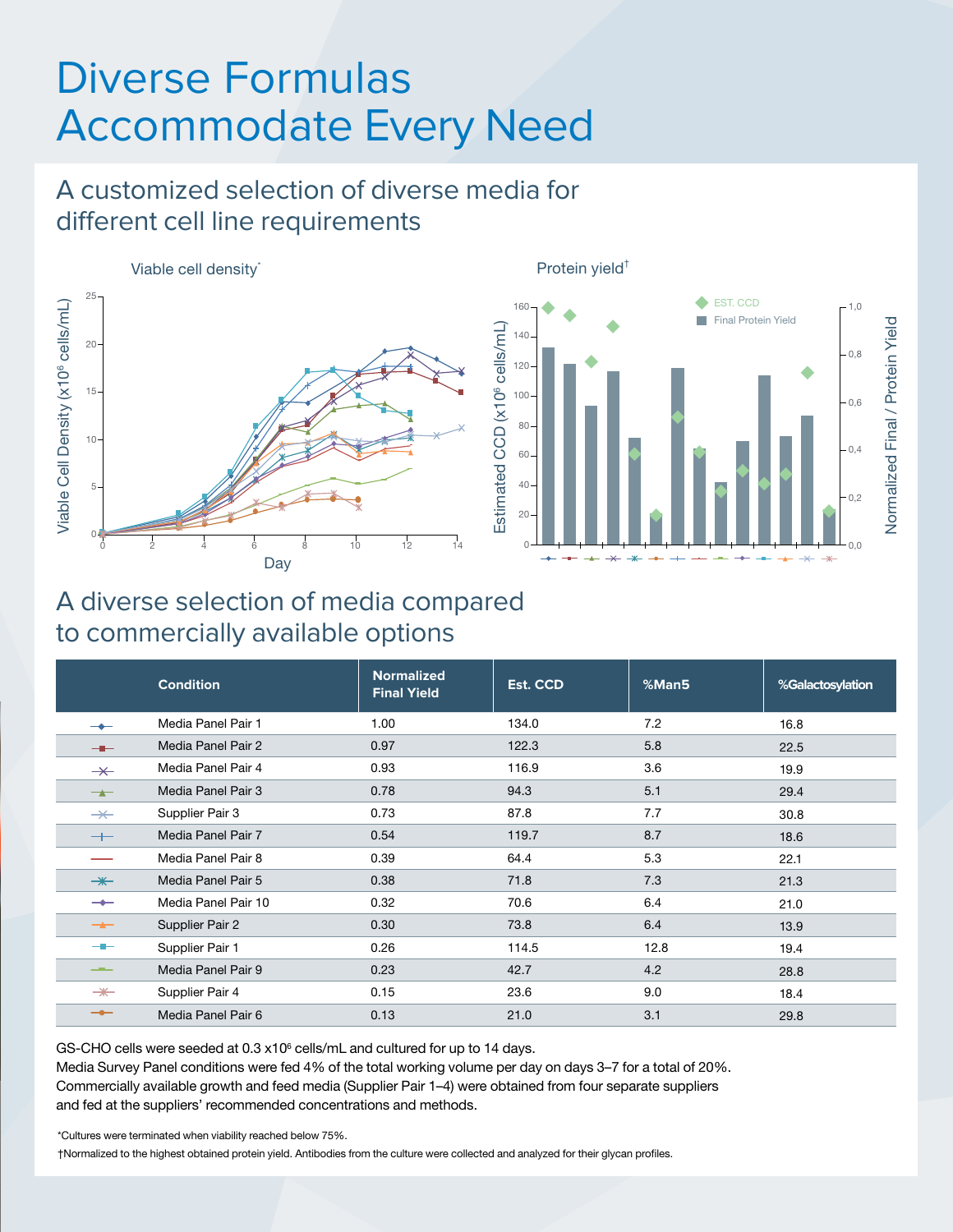## Diverse Formulas Accommodate Every Need

### A customized selection of diverse media for different cell line requirements





### A diverse selection of media compared to commercially available options

|                          | <b>Condition</b>    | <b>Normalized</b><br><b>Final Yield</b> | Est. CCD | %Man5 | %Galactosylation |
|--------------------------|---------------------|-----------------------------------------|----------|-------|------------------|
|                          | Media Panel Pair 1  | 1.00                                    | 134.0    | 7.2   | 16.8             |
| $-$                      | Media Panel Pair 2  | 0.97                                    | 122.3    | 5.8   | 22.5             |
| $\overline{\varkappa}$   | Media Panel Pair 4  | 0.93                                    | 116.9    | 3.6   | 19.9             |
| $\rightarrow$            | Media Panel Pair 3  | 0.78                                    | 94.3     | 5.1   | 29.4             |
| $\overline{\mathbf{X}}$  | Supplier Pair 3     | 0.73                                    | 87.8     | 7.7   | 30.8             |
| $+$                      | Media Panel Pair 7  | 0.54                                    | 119.7    | 8.7   | 18.6             |
|                          | Media Panel Pair 8  | 0.39                                    | 64.4     | 5.3   | 22.1             |
| $\overline{\mathbf{+}}$  | Media Panel Pair 5  | 0.38                                    | 71.8     | 7.3   | 21.3             |
| $\overline{\phantom{0}}$ | Media Panel Pair 10 | 0.32                                    | 70.6     | 6.4   | 21.0             |
| $-$                      | Supplier Pair 2     | 0.30                                    | 73.8     | 6.4   | 13.9             |
| --                       | Supplier Pair 1     | 0.26                                    | 114.5    | 12.8  | 19.4             |
| <u>__</u>                | Media Panel Pair 9  | 0.23                                    | 42.7     | 4.2   | 28.8             |
| $\overline{\mathbf{+}}$  | Supplier Pair 4     | 0.15                                    | 23.6     | 9.0   | 18.4             |
| $-\bullet-$              | Media Panel Pair 6  | 0.13                                    | 21.0     | 3.1   | 29.8             |

GS-CHO cells were seeded at  $0.3 \times 10^6$  cells/mL and cultured for up to 14 days.

Media Survey Panel conditions were fed 4% of the total working volume per day on days 3–7 for a total of 20%. Commercially available growth and feed media (Supplier Pair 1–4) were obtained from four separate suppliers and fed at the suppliers' recommended concentrations and methods.

\*Cultures were terminated when viability reached below 75%.

†Normalized to the highest obtained protein yield. Antibodies from the culture were collected and analyzed for their glycan profiles.